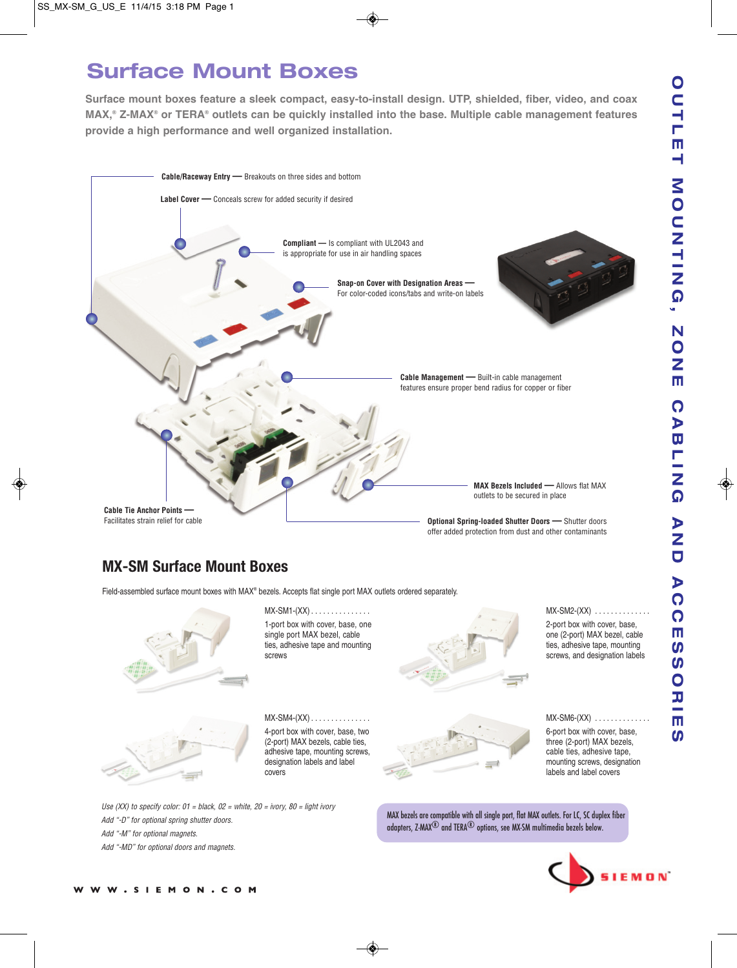# **Surface Mount Boxes**

**Surface mount boxes feature a sleek compact, easy-to-install design. UTP, shielded, fiber, video, and coax MAX,® Z-MAX® or TERA® outlets can be quickly installed into the base. Multiple cable management features provide a high performance and well organized installation.**



### **MX-SM Surface Mount Boxes**

Field-assembled surface mount boxes with MAX® bezels. Accepts flat single port MAX outlets ordered separately.